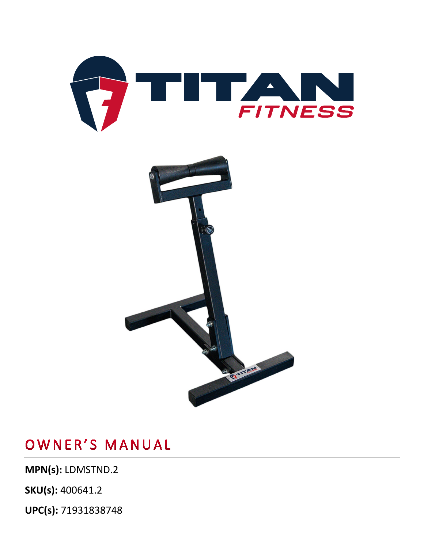



**MPN(s):** LDMSTND.2

**SKU(s):** 400641.2

**UPC(s):** 71931838748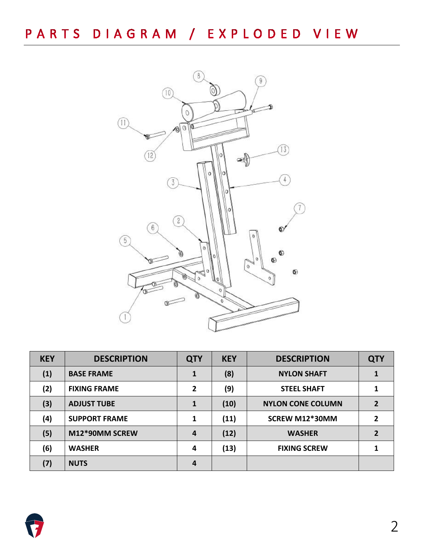PARTS DIAGRAM / EXPLODED VIEW



| <b>KEY</b> | <b>DESCRIPTION</b>   | <b>QTY</b> | <b>KEY</b> | <b>DESCRIPTION</b>       | <b>QTY</b> |
|------------|----------------------|------------|------------|--------------------------|------------|
| (1)        | <b>BASE FRAME</b>    | 1          | (8)        | <b>NYLON SHAFT</b>       |            |
| (2)        | <b>FIXING FRAME</b>  | 2          | (9)        | <b>STEEL SHAFT</b>       |            |
| (3)        | <b>ADJUST TUBE</b>   | 1          | (10)       | <b>NYLON CONE COLUMN</b> | 2          |
| (4)        | <b>SUPPORT FRAME</b> | 1          | (11)       | SCREW M12*30MM           | 2          |
| (5)        | M12*90MM SCREW       | 4          | (12)       | <b>WASHER</b>            | 2          |
| (6)        | <b>WASHER</b>        | 4          | (13)       | <b>FIXING SCREW</b>      |            |
| (7)        | <b>NUTS</b>          | 4          |            |                          |            |